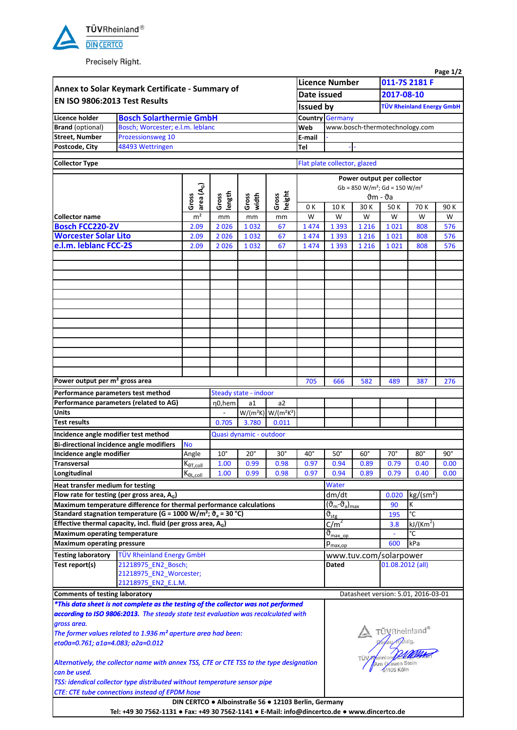

Precisely Right.

|                                                                                                        |                                                                                                                                                                             |                              |                 |                         |                          |                                     |                                            |                                               |                                  |                             | Page 1/2     |  |  |  |
|--------------------------------------------------------------------------------------------------------|-----------------------------------------------------------------------------------------------------------------------------------------------------------------------------|------------------------------|-----------------|-------------------------|--------------------------|-------------------------------------|--------------------------------------------|-----------------------------------------------|----------------------------------|-----------------------------|--------------|--|--|--|
| Annex to Solar Keymark Certificate - Summary of<br>EN ISO 9806:2013 Test Results                       |                                                                                                                                                                             |                              |                 |                         |                          |                                     | <b>Licence Number</b>                      |                                               | 011-7S 2181 F                    |                             |              |  |  |  |
|                                                                                                        |                                                                                                                                                                             |                              |                 |                         |                          |                                     | Date issued                                |                                               | 2017-08-10                       |                             |              |  |  |  |
|                                                                                                        |                                                                                                                                                                             |                              |                 |                         |                          | <b>Issued by</b>                    |                                            |                                               | <b>TÜV Rheinland Energy GmbH</b> |                             |              |  |  |  |
| <b>Licence holder</b>                                                                                  | <b>Bosch Solarthermie GmbH</b>                                                                                                                                              |                              |                 |                         |                          |                                     | <b>Germany</b><br>Country                  |                                               |                                  |                             |              |  |  |  |
| <b>Brand</b> (optional)                                                                                | Bosch; Worcester; e.l.m. leblanc                                                                                                                                            |                              |                 |                         |                          |                                     | www.bosch-thermotechnology.com             |                                               |                                  |                             |              |  |  |  |
| <b>Street, Number</b>                                                                                  | Prozessionsweg 10                                                                                                                                                           |                              |                 |                         |                          |                                     |                                            |                                               |                                  |                             |              |  |  |  |
| Postcode, City                                                                                         | 48493 Wettringen                                                                                                                                                            |                              |                 |                         |                          |                                     |                                            |                                               |                                  |                             |              |  |  |  |
| <b>Collector Type</b>                                                                                  |                                                                                                                                                                             | Flat plate collector, glazed |                 |                         |                          |                                     |                                            |                                               |                                  |                             |              |  |  |  |
|                                                                                                        |                                                                                                                                                                             |                              |                 |                         |                          |                                     | Power output per collector                 |                                               |                                  |                             |              |  |  |  |
|                                                                                                        |                                                                                                                                                                             |                              |                 |                         |                          | $Gb = 850 W/m^2$ ; $Gd = 150 W/m^2$ |                                            |                                               |                                  |                             |              |  |  |  |
| area (A $_{\rm G}$ )<br>Gross                                                                          |                                                                                                                                                                             |                              |                 |                         | height<br>width<br>Gross |                                     |                                            |                                               | $\vartheta$ m - $\vartheta$ a    |                             |              |  |  |  |
|                                                                                                        |                                                                                                                                                                             |                              | length<br>Gross | Gross                   |                          | 0 K                                 | 10K                                        | 30 K                                          | 50K                              | 70 K                        | 90K          |  |  |  |
| <b>Collector name</b>                                                                                  |                                                                                                                                                                             | m <sup>2</sup>               | mm              | mm                      | mm                       | W                                   | W                                          | W                                             | W                                | W                           | W            |  |  |  |
| <b>Bosch FCC220-2V</b>                                                                                 |                                                                                                                                                                             | 2.09                         | 2026            | 1032                    | 67                       | 1474                                | 1 3 9 3                                    | 1 2 1 6                                       | 1021                             | 808                         | 576          |  |  |  |
| <b>Worcester Solar Lito</b>                                                                            |                                                                                                                                                                             | 2.09                         | 2026            | 1032                    | 67                       | 1474                                | 1 3 9 3                                    | 1 2 1 6                                       | 1021                             | 808                         | 576          |  |  |  |
| e.l.m. leblanc FCC-2S                                                                                  |                                                                                                                                                                             | 2.09                         | 2026            | 1032                    | 67                       | 1474                                | 1 3 9 3                                    | 1 2 1 6                                       | 1021                             | 808                         | 576          |  |  |  |
|                                                                                                        |                                                                                                                                                                             |                              |                 |                         |                          |                                     |                                            |                                               |                                  |                             |              |  |  |  |
|                                                                                                        |                                                                                                                                                                             |                              |                 |                         |                          |                                     |                                            |                                               |                                  |                             |              |  |  |  |
|                                                                                                        |                                                                                                                                                                             |                              |                 |                         |                          |                                     |                                            |                                               |                                  |                             |              |  |  |  |
|                                                                                                        |                                                                                                                                                                             |                              |                 |                         |                          |                                     |                                            |                                               |                                  |                             |              |  |  |  |
|                                                                                                        |                                                                                                                                                                             |                              |                 |                         |                          |                                     |                                            |                                               |                                  |                             |              |  |  |  |
|                                                                                                        |                                                                                                                                                                             |                              |                 |                         |                          |                                     |                                            |                                               |                                  |                             |              |  |  |  |
|                                                                                                        |                                                                                                                                                                             |                              |                 |                         |                          |                                     |                                            |                                               |                                  |                             |              |  |  |  |
|                                                                                                        |                                                                                                                                                                             |                              |                 |                         |                          |                                     |                                            |                                               |                                  |                             |              |  |  |  |
|                                                                                                        |                                                                                                                                                                             |                              |                 |                         |                          |                                     |                                            |                                               |                                  |                             |              |  |  |  |
|                                                                                                        |                                                                                                                                                                             |                              |                 |                         |                          |                                     |                                            |                                               |                                  |                             |              |  |  |  |
|                                                                                                        |                                                                                                                                                                             |                              |                 |                         |                          |                                     |                                            |                                               |                                  |                             |              |  |  |  |
| Power output per m <sup>2</sup> gross area                                                             |                                                                                                                                                                             |                              |                 |                         |                          | 705                                 | 666                                        | 582                                           | 489                              | 387                         | 276          |  |  |  |
| Performance parameters test method                                                                     |                                                                                                                                                                             |                              |                 | Steady state - indoor   |                          |                                     |                                            |                                               |                                  |                             |              |  |  |  |
|                                                                                                        | Performance parameters (related to AG)                                                                                                                                      |                              | η0,hem          | a1                      | a2                       |                                     |                                            |                                               |                                  |                             |              |  |  |  |
| <b>Units</b>                                                                                           |                                                                                                                                                                             |                              |                 | $W/(m^2K)$ $W/(m^2K^2)$ |                          |                                     |                                            |                                               |                                  |                             |              |  |  |  |
| <b>Test results</b>                                                                                    |                                                                                                                                                                             | 0.705                        | 3.780           | 0.011                   |                          |                                     |                                            |                                               |                                  |                             |              |  |  |  |
| Incidence angle modifier test method                                                                   |                                                                                                                                                                             |                              |                 | Quasi dynamic - outdoor |                          |                                     |                                            |                                               |                                  |                             |              |  |  |  |
| <b>Bi-directional incidence angle modifiers</b>                                                        |                                                                                                                                                                             | <b>No</b>                    |                 |                         |                          |                                     |                                            |                                               |                                  |                             |              |  |  |  |
| Incidence angle modifier                                                                               |                                                                                                                                                                             | Angle                        | $10^{\circ}$    | $20^{\circ}$            | $30^{\circ}$             | $40^{\circ}$                        | $50^\circ$                                 | $60^{\circ}$                                  | $70^\circ$                       | $80^{\circ}$                | $90^{\circ}$ |  |  |  |
| <b>Transversal</b>                                                                                     |                                                                                                                                                                             | $K_{\theta T, coll}$         | 1.00            | 0.99                    | 0.98                     | 0.97                                | 0.94                                       | 0.89                                          | 0.79                             | 0.40                        | 0.00         |  |  |  |
| Longitudinal                                                                                           |                                                                                                                                                                             | $K_{\theta L, coll}$         | 1.00            | 0.99                    | 0.98                     | 0.97                                | 0.94                                       | 0.89                                          | 0.79                             | 0.40                        | 0.00         |  |  |  |
| Heat transfer medium for testing                                                                       |                                                                                                                                                                             |                              |                 |                         |                          |                                     | Water                                      |                                               |                                  |                             |              |  |  |  |
| Flow rate for testing (per gross area, A <sub>G</sub> )                                                |                                                                                                                                                                             |                              |                 |                         |                          |                                     | dm/dt                                      |                                               | 0.020                            | kg/(sm <sup>2</sup> )       |              |  |  |  |
|                                                                                                        | Maximum temperature difference for thermal performance calculations                                                                                                         |                              |                 |                         |                          |                                     | $(\vartheta_m - \vartheta_a)_{\text{max}}$ |                                               | K<br>90                          |                             |              |  |  |  |
|                                                                                                        | Standard stagnation temperature (G = 1000 W/m <sup>2</sup> ; $\vartheta$ <sub>a</sub> = 30 °C)<br>Effective thermal capacity, incl. fluid (per gross area, A <sub>G</sub> ) |                              |                 |                         |                          |                                     | $\vartheta_{\text{stg}}$                   |                                               | 195                              | °C                          |              |  |  |  |
| <b>Maximum operating temperature</b>                                                                   |                                                                                                                                                                             |                              |                 |                         |                          |                                     | $C/m^2$                                    |                                               | 3.8                              | kJ/(Km <sup>2</sup> )<br>°C |              |  |  |  |
|                                                                                                        |                                                                                                                                                                             |                              |                 |                         |                          |                                     | $\vartheta_{\text{max\_op}}$               |                                               | $\blacksquare$<br>kPa<br>600     |                             |              |  |  |  |
| <b>Maximum operating pressure</b>                                                                      |                                                                                                                                                                             |                              |                 |                         |                          |                                     |                                            | $p_{\text{max,op}}$<br>www.tuv.com/solarpower |                                  |                             |              |  |  |  |
| <b>Testing laboratory</b>                                                                              | <b>TÜV Rheinland Energy GmbH</b>                                                                                                                                            |                              |                 |                         |                          |                                     | Dated                                      |                                               |                                  |                             |              |  |  |  |
| 21218975 EN2 Bosch;<br>Test report(s)<br>21218975_EN2_Worcester;<br>21218975 EN2 E.L.M.                |                                                                                                                                                                             |                              |                 |                         |                          |                                     |                                            |                                               |                                  | $01.08.2012$ (all)          |              |  |  |  |
|                                                                                                        |                                                                                                                                                                             |                              |                 |                         |                          |                                     |                                            |                                               |                                  |                             |              |  |  |  |
| <b>Comments of testing laboratory</b>                                                                  |                                                                                                                                                                             |                              |                 |                         |                          |                                     |                                            | Datasheet version: 5.01, 2016-03-01           |                                  |                             |              |  |  |  |
|                                                                                                        | *This data sheet is not complete as the testing of the collector was not performed                                                                                          |                              |                 |                         |                          |                                     |                                            |                                               |                                  |                             |              |  |  |  |
|                                                                                                        | according to ISO 9806:2013. The steady state test evaluation was recalculated with                                                                                          |                              |                 |                         |                          |                                     |                                            |                                               |                                  |                             |              |  |  |  |
| gross area.                                                                                            |                                                                                                                                                                             |                              |                 |                         |                          |                                     |                                            |                                               |                                  |                             |              |  |  |  |
| The former values related to 1.936 m <sup>2</sup> aperture area had been:                              |                                                                                                                                                                             |                              |                 |                         |                          |                                     |                                            | TÜVRheinland®                                 |                                  |                             |              |  |  |  |
| eta0a=0.761; a1a=4.083; a2a=0.012                                                                      |                                                                                                                                                                             |                              |                 |                         |                          |                                     |                                            |                                               |                                  |                             |              |  |  |  |
|                                                                                                        |                                                                                                                                                                             |                              |                 |                         |                          |                                     |                                            |                                               |                                  |                             |              |  |  |  |
| Alternatively, the collector name with annex TSS, CTE or CTE TSS to the type designation               |                                                                                                                                                                             |                              |                 |                         |                          |                                     |                                            |                                               | Am Grauen Stein<br>61105 Köln    |                             |              |  |  |  |
| can be used.                                                                                           |                                                                                                                                                                             |                              |                 |                         |                          |                                     |                                            |                                               |                                  |                             |              |  |  |  |
|                                                                                                        | TSS: idendical collector type distributed without temperature sensor pipe                                                                                                   |                              |                 |                         |                          |                                     |                                            |                                               |                                  |                             |              |  |  |  |
| CTE: CTE tube connections instead of EPDM hose<br>DIN CERTCO . Alboinstraße 56 . 12103 Berlin, Germany |                                                                                                                                                                             |                              |                 |                         |                          |                                     |                                            |                                               |                                  |                             |              |  |  |  |
|                                                                                                        |                                                                                                                                                                             |                              |                 |                         |                          |                                     |                                            |                                               |                                  |                             |              |  |  |  |

**Tel: +49 30 7562-1131 ● Fax: +49 30 7562-1141 ● E-Mail: info@dincertco.de ● www.dincertco.de**